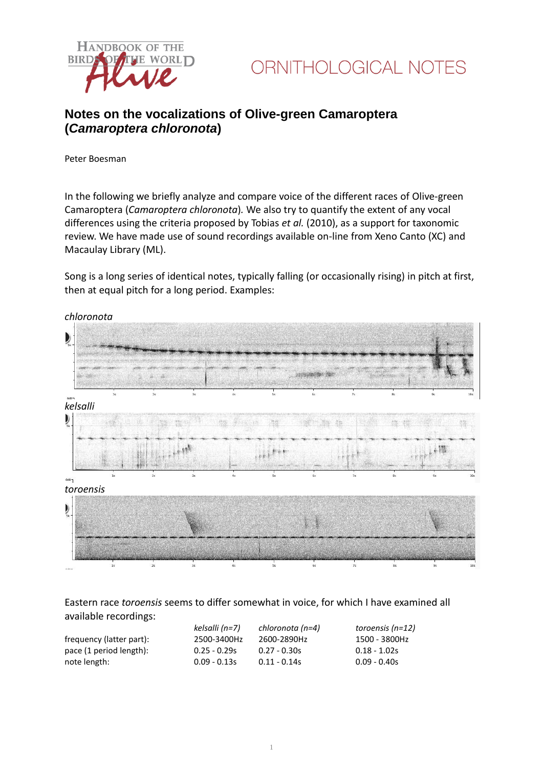



## **Notes on the vocalizations of Olive-green Camaroptera (***Camaroptera chloronota***)**

Peter Boesman

In the following we briefly analyze and compare voice of the different races of Olive-green Camaroptera (*Camaroptera chloronota*)*.* We also try to quantify the extent of any vocal differences using the criteria proposed by Tobias *et al.* (2010), as a support for taxonomic review. We have made use of sound recordings available on-line from Xeno Canto (XC) and Macaulay Library (ML).

Song is a long series of identical notes, typically falling (or occasionally rising) in pitch at first, then at equal pitch for a long period. Examples:



Eastern race *toroensis* seems to differ somewhat in voice, for which I have examined all available recordings:

|                          | kelsalli (n=7) | chloronota (n=4) | toroensis (n=12) |
|--------------------------|----------------|------------------|------------------|
| frequency (latter part): | 2500-3400Hz    | 2600-2890Hz      | 1500 - 3800Hz    |
| pace (1 period length):  | $0.25 - 0.29s$ | $0.27 - 0.30s$   | $0.18 - 1.02s$   |
| note length:             | $0.09 - 0.13s$ | $0.11 - 0.14s$   | $0.09 - 0.40s$   |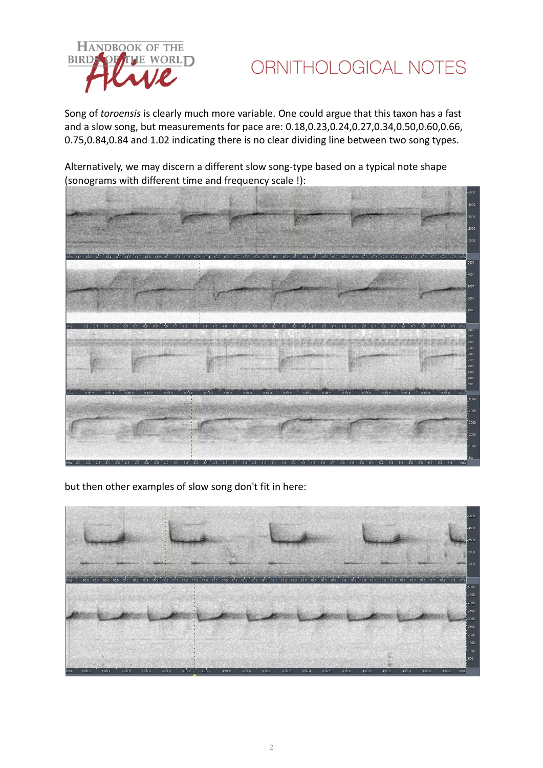

ORNITHOLOGICAL NOTES

Song of *toroensis* is clearly much more variable. One could argue that this taxon has a fast and a slow song, but measurements for pace are: 0.18,0.23,0.24,0.27,0.34,0.50,0.60,0.66, 0.75,0.84,0.84 and 1.02 indicating there is no clear dividing line between two song types.



Alternatively, we may discern a different slow song-type based on a typical note shape (sonograms with different time and frequency scale !):

but then other examples of slow song don't fit in here: